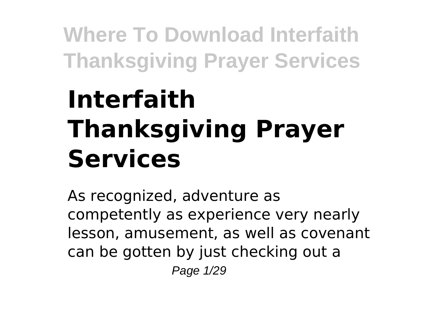# **Interfaith Thanksgiving Prayer Services**

As recognized, adventure as competently as experience very nearly lesson, amusement, as well as covenant can be gotten by just checking out a Page 1/29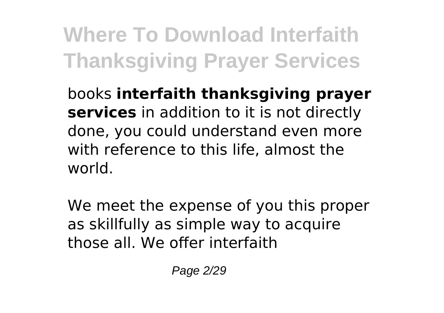books **interfaith thanksgiving prayer services** in addition to it is not directly done, you could understand even more with reference to this life, almost the world.

We meet the expense of you this proper as skillfully as simple way to acquire those all. We offer interfaith

Page 2/29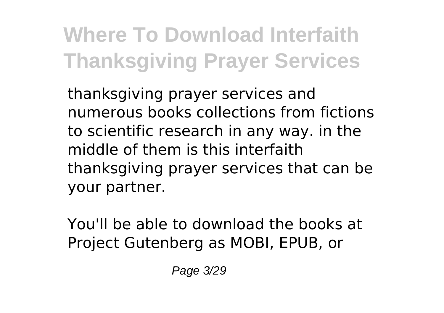thanksgiving prayer services and numerous books collections from fictions to scientific research in any way. in the middle of them is this interfaith thanksgiving prayer services that can be your partner.

You'll be able to download the books at Project Gutenberg as MOBI, EPUB, or

Page 3/29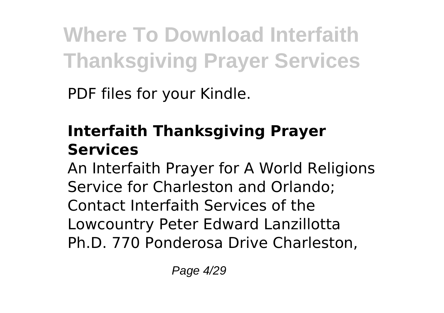PDF files for your Kindle.

### **Interfaith Thanksgiving Prayer Services**

An Interfaith Prayer for A World Religions Service for Charleston and Orlando; Contact Interfaith Services of the Lowcountry Peter Edward Lanzillotta Ph.D. 770 Ponderosa Drive Charleston,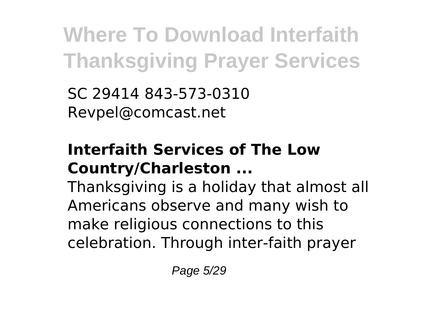SC 29414 843-573-0310 Revpel@comcast.net

#### **Interfaith Services of The Low Country/Charleston ...**

Thanksgiving is a holiday that almost all Americans observe and many wish to make religious connections to this celebration. Through inter-faith prayer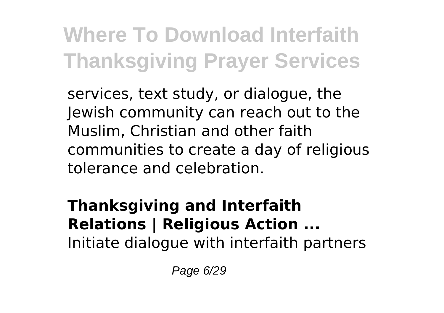services, text study, or dialogue, the Jewish community can reach out to the Muslim, Christian and other faith communities to create a day of religious tolerance and celebration.

#### **Thanksgiving and Interfaith Relations | Religious Action ...** Initiate dialogue with interfaith partners

Page 6/29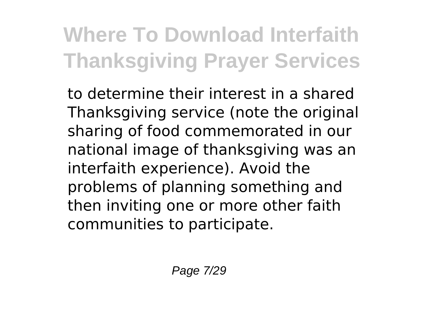to determine their interest in a shared Thanksgiving service (note the original sharing of food commemorated in our national image of thanksgiving was an interfaith experience). Avoid the problems of planning something and then inviting one or more other faith communities to participate.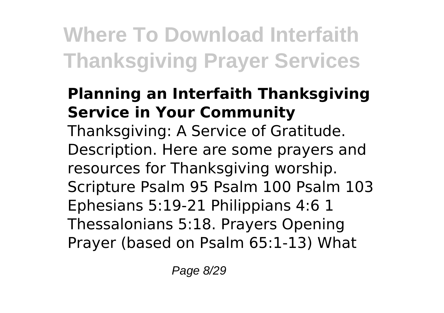#### **Planning an Interfaith Thanksgiving Service in Your Community**

Thanksgiving: A Service of Gratitude. Description. Here are some prayers and resources for Thanksgiving worship. Scripture Psalm 95 Psalm 100 Psalm 103 Ephesians 5:19-21 Philippians 4:6 1 Thessalonians 5:18. Prayers Opening Prayer (based on Psalm 65:1-13) What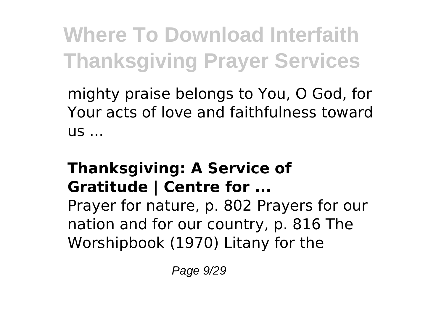mighty praise belongs to You, O God, for Your acts of love and faithfulness toward  $US...$ 

### **Thanksgiving: A Service of Gratitude | Centre for ...**

Prayer for nature, p. 802 Prayers for our nation and for our country, p. 816 The Worshipbook (1970) Litany for the

Page 9/29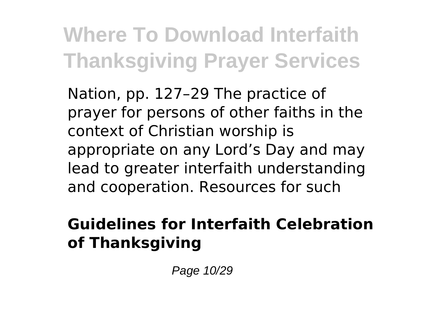Nation, pp. 127–29 The practice of prayer for persons of other faiths in the context of Christian worship is appropriate on any Lord's Day and may lead to greater interfaith understanding and cooperation. Resources for such

#### **Guidelines for Interfaith Celebration of Thanksgiving**

Page 10/29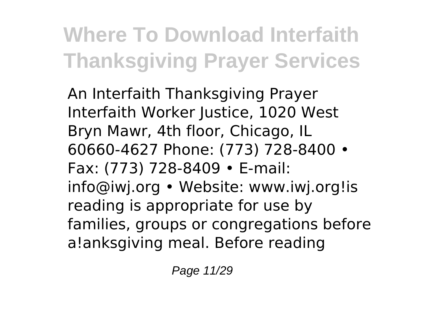An Interfaith Thanksgiving Prayer Interfaith Worker Justice, 1020 West Bryn Mawr, 4th floor, Chicago, IL 60660-4627 Phone: (773) 728-8400 • Fax: (773) 728-8409 • E-mail: info@iwj.org • Website: www.iwj.org!is reading is appropriate for use by families, groups or congregations before a!anksgiving meal. Before reading

Page 11/29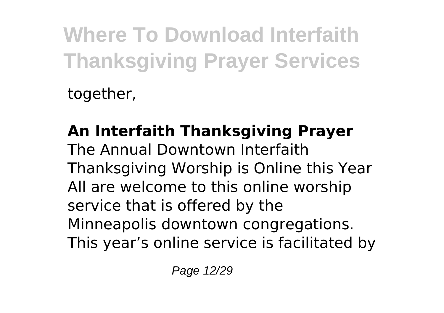together,

#### **An Interfaith Thanksgiving Prayer** The Annual Downtown Interfaith Thanksgiving Worship is Online this Year All are welcome to this online worship service that is offered by the Minneapolis downtown congregations. This year's online service is facilitated by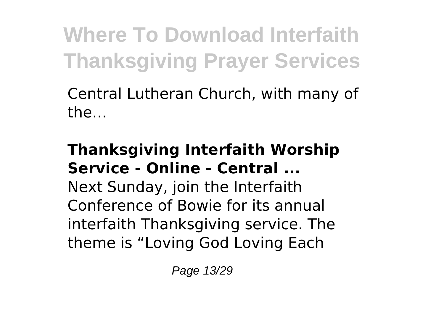Central Lutheran Church, with many of the…

#### **Thanksgiving Interfaith Worship Service - Online - Central ...**

Next Sunday, join the Interfaith Conference of Bowie for its annual interfaith Thanksgiving service. The theme is "Loving God Loving Each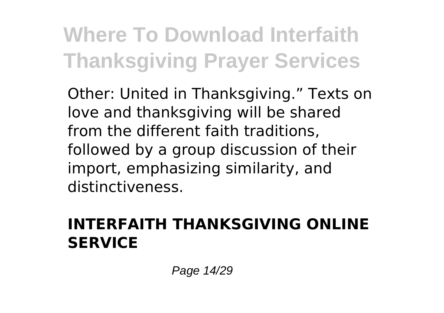Other: United in Thanksgiving." Texts on love and thanksgiving will be shared from the different faith traditions, followed by a group discussion of their import, emphasizing similarity, and distinctiveness.

#### **INTERFAITH THANKSGIVING ONLINE SERVICE**

Page 14/29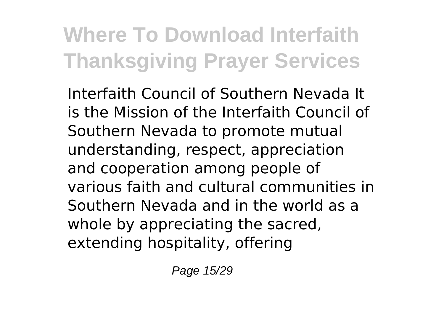Interfaith Council of Southern Nevada It is the Mission of the Interfaith Council of Southern Nevada to promote mutual understanding, respect, appreciation and cooperation among people of various faith and cultural communities in Southern Nevada and in the world as a whole by appreciating the sacred, extending hospitality, offering

Page 15/29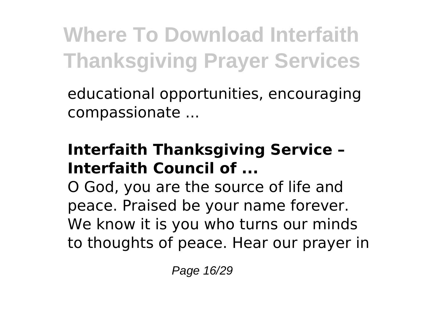educational opportunities, encouraging compassionate ...

#### **Interfaith Thanksgiving Service – Interfaith Council of ...**

O God, you are the source of life and peace. Praised be your name forever. We know it is you who turns our minds to thoughts of peace. Hear our prayer in

Page 16/29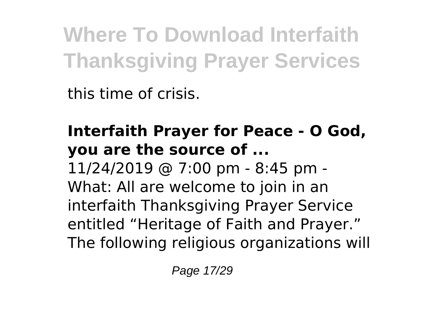this time of crisis.

### **Interfaith Prayer for Peace - O God, you are the source of ...**

11/24/2019 @ 7:00 pm - 8:45 pm - What: All are welcome to join in an interfaith Thanksgiving Prayer Service entitled "Heritage of Faith and Prayer." The following religious organizations will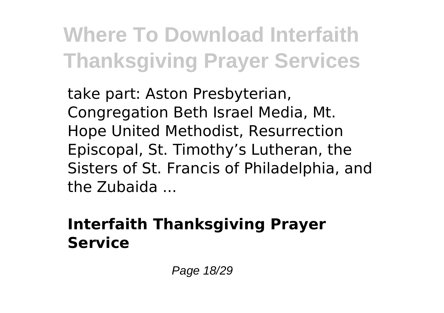take part: Aston Presbyterian, Congregation Beth Israel Media, Mt. Hope United Methodist, Resurrection Episcopal, St. Timothy's Lutheran, the Sisters of St. Francis of Philadelphia, and the Zubaida ...

#### **Interfaith Thanksgiving Prayer Service**

Page 18/29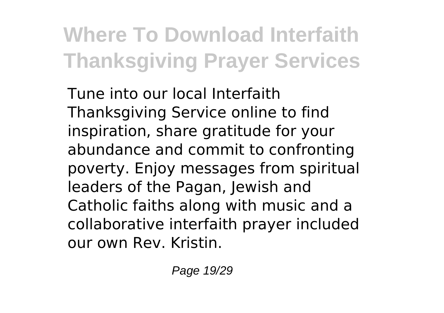Tune into our local Interfaith Thanksgiving Service online to find inspiration, share gratitude for your abundance and commit to confronting poverty. Enjoy messages from spiritual leaders of the Pagan, Jewish and Catholic faiths along with music and a collaborative interfaith prayer included our own Rev. Kristin.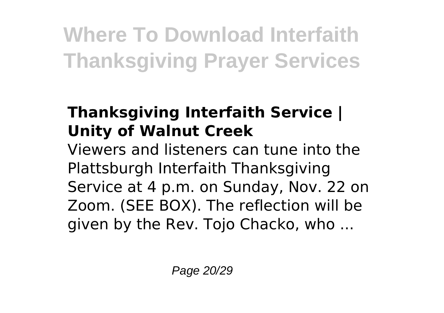### **Thanksgiving Interfaith Service | Unity of Walnut Creek**

Viewers and listeners can tune into the Plattsburgh Interfaith Thanksgiving Service at 4 p.m. on Sunday, Nov. 22 on Zoom. (SEE BOX). The reflection will be given by the Rev. Tojo Chacko, who ...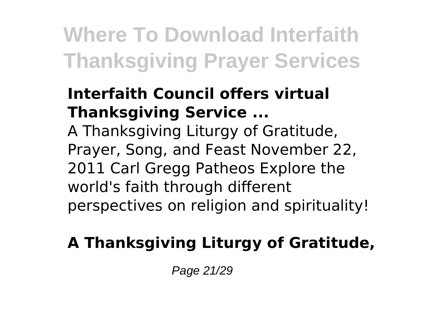#### **Interfaith Council offers virtual Thanksgiving Service ...**

A Thanksgiving Liturgy of Gratitude, Prayer, Song, and Feast November 22, 2011 Carl Gregg Patheos Explore the world's faith through different perspectives on religion and spirituality!

### **A Thanksgiving Liturgy of Gratitude,**

Page 21/29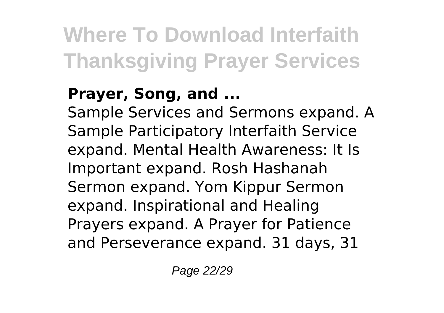### **Prayer, Song, and ...**

Sample Services and Sermons expand. A Sample Participatory Interfaith Service expand. Mental Health Awareness: It Is Important expand. Rosh Hashanah Sermon expand. Yom Kippur Sermon expand. Inspirational and Healing Prayers expand. A Prayer for Patience and Perseverance expand. 31 days, 31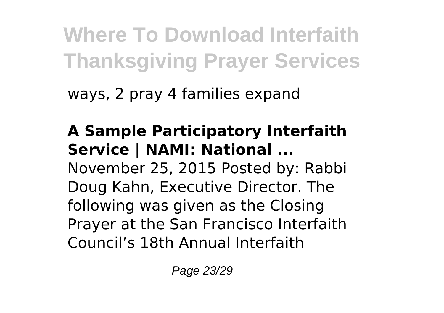ways, 2 pray 4 families expand

**A Sample Participatory Interfaith Service | NAMI: National ...** November 25, 2015 Posted by: Rabbi Doug Kahn, Executive Director. The following was given as the Closing Prayer at the San Francisco Interfaith Council's 18th Annual Interfaith

Page 23/29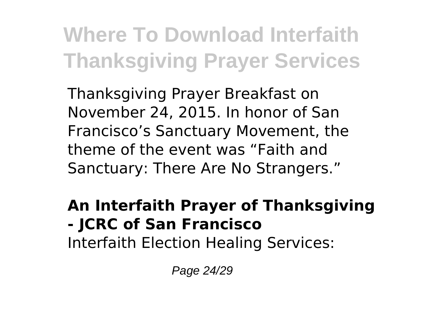Thanksgiving Prayer Breakfast on November 24, 2015. In honor of San Francisco's Sanctuary Movement, the theme of the event was "Faith and Sanctuary: There Are No Strangers."

### **An Interfaith Prayer of Thanksgiving - JCRC of San Francisco**

Interfaith Election Healing Services:

Page 24/29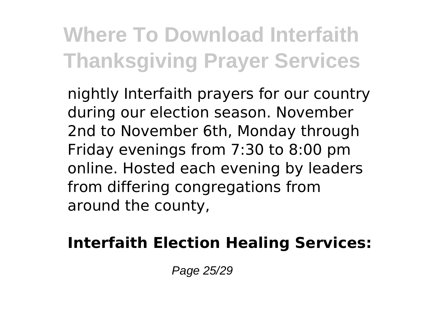nightly Interfaith prayers for our country during our election season. November 2nd to November 6th, Monday through Friday evenings from 7:30 to 8:00 pm online. Hosted each evening by leaders from differing congregations from around the county,

### **Interfaith Election Healing Services:**

Page 25/29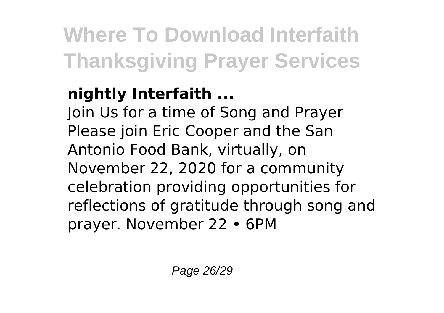### **nightly Interfaith ...**

Join Us for a time of Song and Prayer Please join Eric Cooper and the San Antonio Food Bank, virtually, on November 22, 2020 for a community celebration providing opportunities for reflections of gratitude through song and prayer. November 22 • 6PM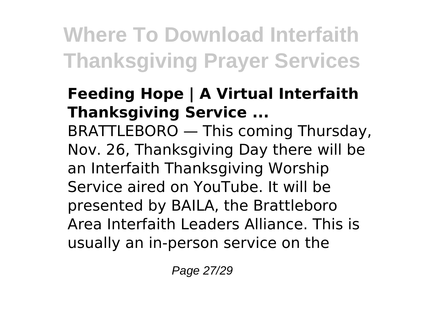#### **Feeding Hope | A Virtual Interfaith Thanksgiving Service ...**

BRATTLEBORO — This coming Thursday, Nov. 26, Thanksgiving Day there will be an Interfaith Thanksgiving Worship Service aired on YouTube. It will be presented by BAILA, the Brattleboro Area Interfaith Leaders Alliance. This is usually an in-person service on the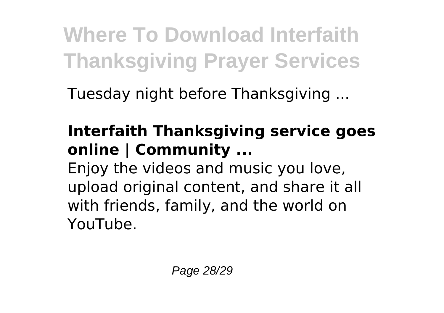Tuesday night before Thanksgiving ...

### **Interfaith Thanksgiving service goes online | Community ...**

Enjoy the videos and music you love, upload original content, and share it all with friends, family, and the world on YouTube.